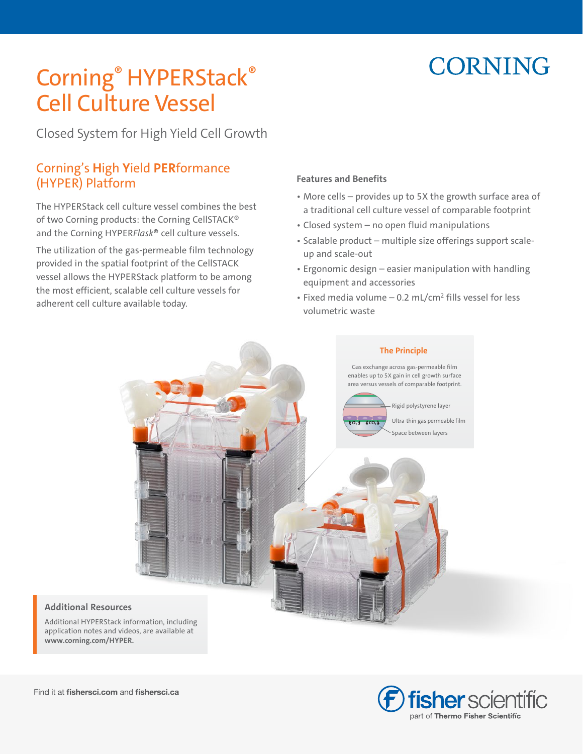# **CORNING**

## Corning® HYPERStack® Cell Culture Vessel

Closed System for High Yield Cell Growth

## Corning's **H**igh **Y**ield **PER**formance (HYPER) Platform

The HYPERStack cell culture vessel combines the best of two Corning products: the Corning CellSTACK® and the Corning HYPER*Flask*® cell culture vessels.

The utilization of the gas-permeable film technology provided in the spatial footprint of the CellSTACK vessel allows the HYPERStack platform to be among the most efficient, scalable cell culture vessels for adherent cell culture available today.

### **Features and Benefits**

- More cells provides up to 5X the growth surface area of a traditional cell culture vessel of comparable footprint
- Closed system no open fluid manipulations
- Scalable product multiple size offerings support scaleup and scale-out
- Ergonomic design easier manipulation with handling equipment and accessories
- Fixed media volume  $-0.2$  mL/cm<sup>2</sup> fills vessel for less volumetric waste



#### **Additional Resources**

Additional HYPERStack information, including application notes and videos, are available at **www.corning.com/HYPER.**

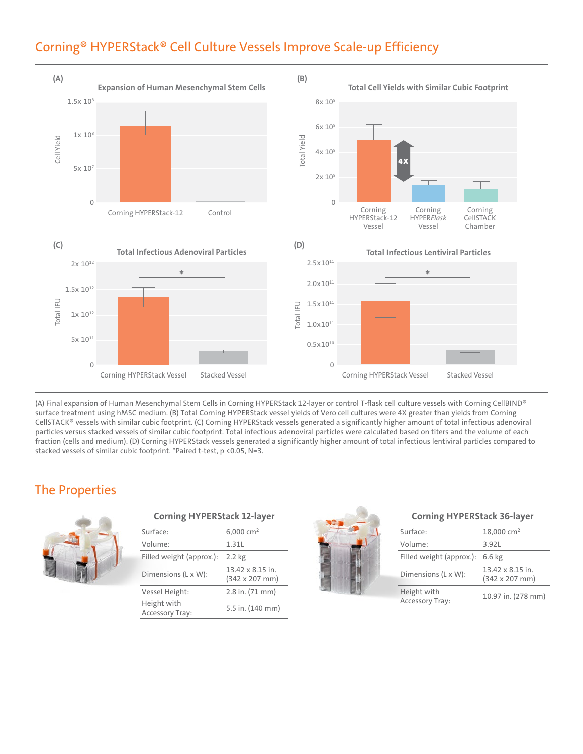## Corning® HYPERStack® Cell Culture Vessels Improve Scale-up Efficiency



(A) Final expansion of Human Mesenchymal Stem Cells in Corning HYPERStack 12-layer or control T-flask cell culture vessels with Corning CellBIND® surface treatment using hMSC medium. (B) Total Corning HYPERStack vessel yields of Vero cell cultures were 4X greater than yields from Corning CellSTACK® vessels with similar cubic footprint. (C) Corning HYPERStack vessels generated a significantly higher amount of total infectious adenoviral particles versus stacked vessels of similar cubic footprint. Total infectious adenoviral particles were calculated based on titers and the volume of each fraction (cells and medium). (D) Corning HYPERStack vessels generated a significantly higher amount of total infectious lentiviral particles compared to stacked vessels of similar cubic footprint. \*Paired t-test, p <0.05, N=3.

## The Properties



#### **Corning HYPERStack 12-layer**

|  | Surface:                       | 6,000 cm <sup>2</sup>              |  |
|--|--------------------------------|------------------------------------|--|
|  | Volume:                        | 1.311                              |  |
|  | Filled weight (approx.):       | $2.2$ kg                           |  |
|  | Dimensions (L x W):            | 13.42 x 8.15 in.<br>(342 x 207 mm) |  |
|  | Vessel Height:                 | 2.8 in. (71 mm)                    |  |
|  | Height with<br>Accessory Tray: | 5.5 in. (140 mm)                   |  |



#### **Corning HYPERStack 36-layer**

|  | Surface:                              | $18,000$ cm <sup>2</sup>                         |
|--|---------------------------------------|--------------------------------------------------|
|  | Volume:                               | 3.921                                            |
|  | Filled weight (approx.):              | $6.6$ kg                                         |
|  | Dimensions (L x W):                   | $13.42 \times 8.15$ in.<br>$(342 \times 207$ mm) |
|  | Height with<br><b>Accessory Tray:</b> | 10.97 in. (278 mm)                               |